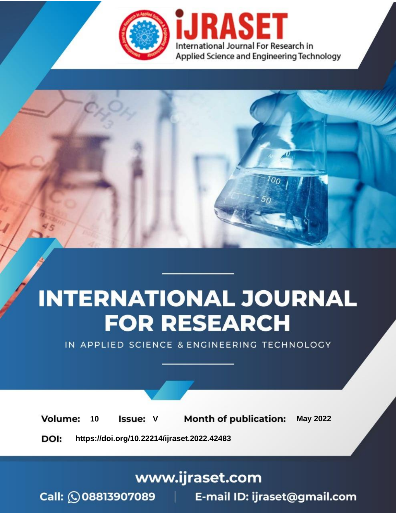

# **INTERNATIONAL JOURNAL FOR RESEARCH**

IN APPLIED SCIENCE & ENGINEERING TECHNOLOGY

Volume: **Month of publication: May 2022** 10 **Issue: V** 

DOI: https://doi.org/10.22214/ijraset.2022.42483

www.ijraset.com

Call: 008813907089 | E-mail ID: ijraset@gmail.com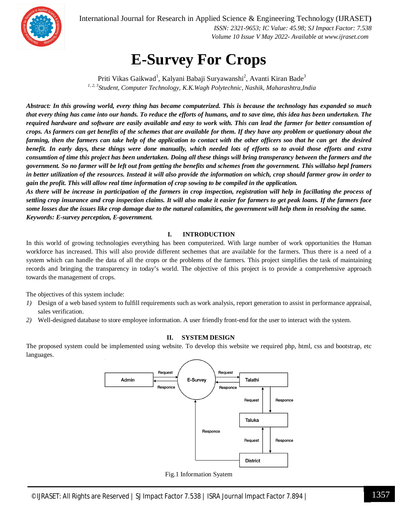

International Journal for Research in Applied Science & Engineering Technology (IJRASET**)**

 *ISSN: 2321-9653; IC Value: 45.98; SJ Impact Factor: 7.538 Volume 10 Issue V May 2022- Available at www.ijraset.com*

### **E-Survey For Crops**

Priti Vikas Gaikwad<sup>1</sup>, Kalyani Babaji Suryawanshi<sup>2</sup>, Avanti Kiran Bade<sup>3</sup> *1, 2, 3 Student, Computer Technology, K.K.Wagh Polytechnic, Nashik, Maharashtra,India* 

*Abstract: In this growing world, every thing has became computerized. This is because the technology has expanded so much that every thing has came into our hands. To reduce the efforts of humans, and to save time, this idea has been undertaken. The required hardware and software are easily available and easy to work with. This can lead the farmer for better consumtion of crops. As farmers can get benefits of the schemes that are available for them. If they have any problem or quetionary about the farming, then the farmers can take help of the application to contact with the other officers soo that he can get the desired benefit. In early days, these things were done manually, which needed lots of efforts so to avoid those efforts and extra consumtion of time this project has been undertaken. Doing all these things will bring transperancy between the farmers and the government. So no farmer will be left out from getting the benefits and schemes from the government. This willalso hepl framers in better utilization of the resources. Instead it will also provide the information on which, crop should farmer grow in order to gain the profit. This will allow real time information of crop sowing to be compiled in the application.* 

*As there will be increase in participation of the farmers in crop inspection, registration will help in facillating the process of settling crop insurance and crop inspection claims. It will also make it easier for farmers to get peak loans. If the farmers face some losses due the issues like crop damage due to the natural calamities, the government will help them in resolving the same. Keywords: E-survey perception, E-government.*

#### **I. INTRODUCTION**

In this world of growing technologies everything has been computerized. With large number of work opportunities the Human workforce has increased. This will also provide different sechemes that are available for the farmers. Thus there is a need of a system which can handle the data of all the crops or the problems of the farmers. This project simplifies the task of maintaining records and bringing the transparency in today's world. The objective of this project is to provide a comprehensive approach towards the management of crops.

The objectives of this system include:

- *1)* Design of a web based system to fulfill requirements such as work analysis, report generation to assist in performance appraisal, sales verification.
- *2)* Well-designed database to store employee information. A user friendly front-end for the user to interact with the system.

#### **II. SYSTEM DESIGN**

The proposed system could be implemented using website. To develop this website we required php, html, css and bootstrap, etc languages.



Fig.1 Information Syatem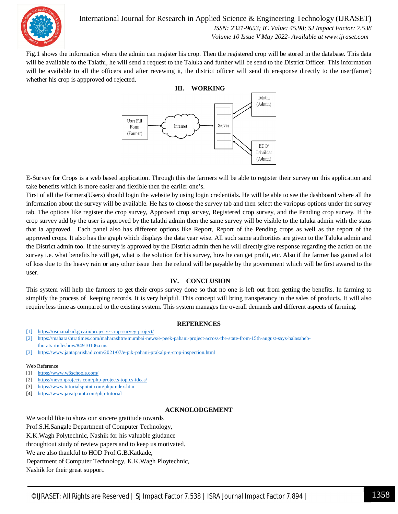

International Journal for Research in Applied Science & Engineering Technology (IJRASET**)**

 *ISSN: 2321-9653; IC Value: 45.98; SJ Impact Factor: 7.538 Volume 10 Issue V May 2022- Available at www.ijraset.com*

Fig.1 shows the information where the admin can register his crop. Then the registered crop will be stored in the database. This data will be available to the Talathi, he will send a request to the Taluka and further will be send to the District Officer. This information will be available to all the officers and after revewing it, the district officer will send th eresponse directly to the user(farner) whether his crop is appproved od rejected.



E-Survey for Crops is a web based application. Through this the farmers will be able to register their survey on this application and take benefits which is more easier and flexible then the earlier one's.

First of all the Farmers(Users) should login the website by using login credentials. He will be able to see the dashboard where all the information about the survey will be available. He has to choose the survey tab and then select the variopus options under the survey tab. The options like register the crop survey, Approved crop survey, Registered crop survey, and the Pending crop survey. If the crop survey add by the user is approved by the talathi admin then the same survey will be visible to the taluka admin with the staus that ia approved. Each panel also has different options like Report, Report of the Pending crops as well as the report of the approved crops. It also has the graph which displays the data year wise. All such same authorities are given to the Taluka admin and the District admin too. If the survey is approved by the District admin then he will directly give response regarding the action on the survey i.e. what benefits he will get, what is the solution for his survey, how he can get profit, etc. Also if the farmer has gained a lot of loss due to the heavy rain or any other issue then the refund will be payable by the government which will be first awared to the user.

#### **IV. CONCLUSION**

This system will help the farmers to get their crops survey done so that no one is left out from getting the benefits. In farming to simplify the process of keeping records. It is very helpful. This concept will bring transperancy in the sales of products. It will also require less time as compared to the existing system. This system manages the overall demands and different aspects of farming.

#### **REFERENCES**

- [1] https://osmanabad.gov.in/project/e-crop-survey-project/
- [2] https://maharashtratimes.com/maharashtra/mumbai-news/e-peek-pahani-project-across-the-state-from-15th-august-says-balasaheb-
- thorat/articleshow/84910106.cms
- [3] https://www.jantaparishad.com/2021/07/e-pik-pahani-prakalp-e-crop-inspection.html

#### Web Reference

- [1] https://www.w3schools.com/
- [2] https://nevonprojects.com/php-projects-topics-ideas/
- [3] https://www.tutorialspoint.com/php/index.htm
- [4] https://www.javatpoint.com/php-tutorial

#### **ACKNOLODGEMENT**

We would like to show our sincere gratitude towards Prof.S.H.Sangale Department of Computer Technology, K.K.Wagh Polytechnic, Nashik for his valuable giudance throughtout study of review papers and to keep us motivated. We are also thankful to HOD Prof.G.B.Katkade, Department of Computer Technology, K.K.Wagh Ploytechnic, Nashik for their great support.